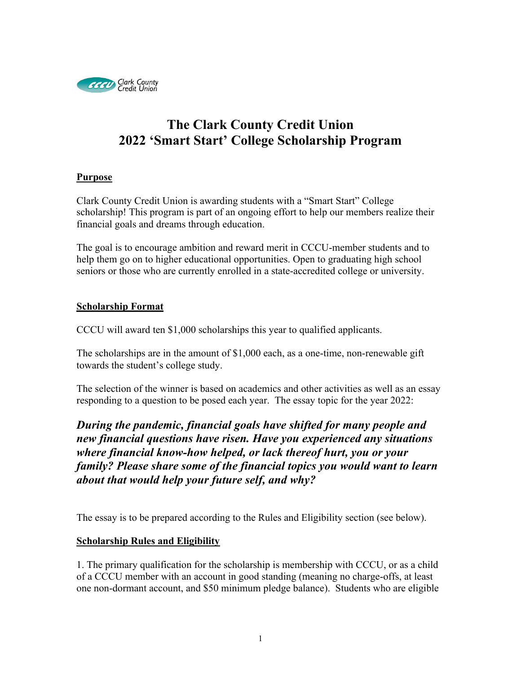

# **The Clark County Credit Union 2022 'Smart Start' College Scholarship Program**

#### **Purpose**

Clark County Credit Union is awarding students with a "Smart Start" College scholarship! This program is part of an ongoing effort to help our members realize their financial goals and dreams through education.

The goal is to encourage ambition and reward merit in CCCU-member students and to help them go on to higher educational opportunities. Open to graduating high school seniors or those who are currently enrolled in a state-accredited college or university.

### **Scholarship Format**

CCCU will award ten \$1,000 scholarships this year to qualified applicants.

The scholarships are in the amount of \$1,000 each, as a one-time, non-renewable gift towards the student's college study.

The selection of the winner is based on academics and other activities as well as an essay responding to a question to be posed each year. The essay topic for the year 2022:

*During the pandemic, financial goals have shifted for many people and new financial questions have risen. Have you experienced any situations where financial know-how helped, or lack thereof hurt, you or your family? Please share some of the financial topics you would want to learn about that would help your future self, and why?*

The essay is to be prepared according to the Rules and Eligibility section (see below).

### **Scholarship Rules and Eligibility**

1. The primary qualification for the scholarship is membership with CCCU, or as a child of a CCCU member with an account in good standing (meaning no charge-offs, at least one non-dormant account, and \$50 minimum pledge balance). Students who are eligible